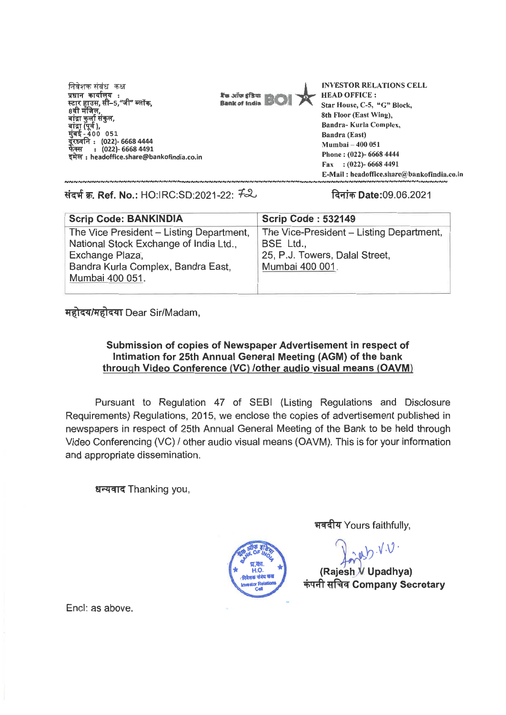निवेशक संबंध कक्ष प्रधान कार्यालय : ।नवशक संबंध<br>प्रधान कार्याल<br>स्टार हाउस, सी<br>8वी मंजिल, बाद्रा कुला सकुल,<br>बांद्रा (पूर्व ),<br>मुंबई - 400 051 दूरध्वनि : (022)- 6668 4444 : (022)- 6668 4491 -<br>फेक्स : (022)- 6668 4491<br>इमेल : headoffice.share@bankofindia.co.in



INVESTOR RELATIONS CELL HEAD OFFICE : Star House, C-5, "G" Block, 8th Floor (East Wing), Bandra- Kurla Complex, Bandra (East) Mumbai — 400 051 Phone : (022)- 6668 4444 Fax : (022)- 6668 4491 E-Mail : headoffice.share@bankofindia.co.in

**OW 'W. Ref. No.:** HO:IRC:SD:2021-22: let) Date:09.06.2021

| <b>Scrip Code: BANKINDIA</b>                                                                                                                                   | <b>Scrip Code: 532149</b>                                                                                  |
|----------------------------------------------------------------------------------------------------------------------------------------------------------------|------------------------------------------------------------------------------------------------------------|
| The Vice President - Listing Department,<br>National Stock Exchange of India Ltd.,<br>Exchange Plaza,<br>Bandra Kurla Complex, Bandra East,<br>Mumbai 400 051. | The Vice-President - Listing Department,<br>BSE Ltd.,<br>25, P.J. Towers, Dalal Street,<br>Mumbai 400 001. |
|                                                                                                                                                                |                                                                                                            |

## महोदय/महोदया Dear Sir/Madam,

## **Submission of copies of Newspaper Advertisement in respect of Intimation for 25th Annual General Meeting (AGM) of the bank through Video Conference (VC) /other audio visual means (OAVM)**

Pursuant to Regulation 47 of SEBI (Listing Regulations and Disclosure Requirements) Regulations, 2015, we enclose the copies of advertisement published in newspapers in respect of 25th Annual General Meeting of the Bank to be held through Video Conferencing (VC) / other audio visual means (OAVM). This is for your information and appropriate dissemination.

धन्यवाद Thanking you,

भवदीय Yours faithfully,

inder V.V. **(Rajesh Upadhya) 4)4 Company Secretary** 

Encl: as above.